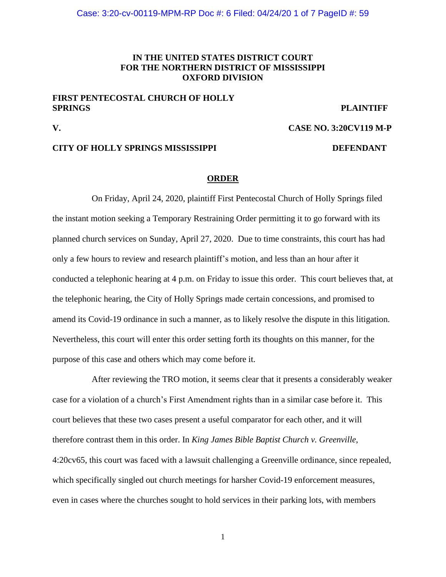# **IN THE UNITED STATES DISTRICT COURT FOR THE NORTHERN DISTRICT OF MISSISSIPPI OXFORD DIVISION**

## **FIRST PENTECOSTAL CHURCH OF HOLLY SPRINGS PLAINTIFF**

**V. CASE NO. 3:20CV119 M-P** 

## **CITY OF HOLLY SPRINGS MISSISSIPPI DEFENDANT**

#### **ORDER**

On Friday, April 24, 2020, plaintiff First Pentecostal Church of Holly Springs filed the instant motion seeking a Temporary Restraining Order permitting it to go forward with its planned church services on Sunday, April 27, 2020. Due to time constraints, this court has had only a few hours to review and research plaintiff's motion, and less than an hour after it conducted a telephonic hearing at 4 p.m. on Friday to issue this order. This court believes that, at the telephonic hearing, the City of Holly Springs made certain concessions, and promised to amend its Covid-19 ordinance in such a manner, as to likely resolve the dispute in this litigation. Nevertheless, this court will enter this order setting forth its thoughts on this manner, for the purpose of this case and others which may come before it.

After reviewing the TRO motion, it seems clear that it presents a considerably weaker case for a violation of a church's First Amendment rights than in a similar case before it. This court believes that these two cases present a useful comparator for each other, and it will therefore contrast them in this order. In *King James Bible Baptist Church v. Greenville*, 4:20cv65, this court was faced with a lawsuit challenging a Greenville ordinance, since repealed, which specifically singled out church meetings for harsher Covid-19 enforcement measures, even in cases where the churches sought to hold services in their parking lots, with members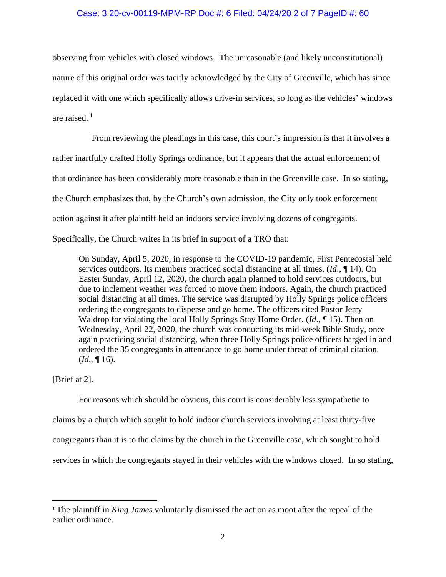## Case: 3:20-cv-00119-MPM-RP Doc #: 6 Filed: 04/24/20 2 of 7 PageID #: 60

observing from vehicles with closed windows. The unreasonable (and likely unconstitutional) nature of this original order was tacitly acknowledged by the City of Greenville, which has since replaced it with one which specifically allows drive-in services, so long as the vehicles' windows are raised. <sup>1</sup>

From reviewing the pleadings in this case, this court's impression is that it involves a rather inartfully drafted Holly Springs ordinance, but it appears that the actual enforcement of that ordinance has been considerably more reasonable than in the Greenville case. In so stating, the Church emphasizes that, by the Church's own admission, the City only took enforcement action against it after plaintiff held an indoors service involving dozens of congregants. Specifically, the Church writes in its brief in support of a TRO that:

On Sunday, April 5, 2020, in response to the COVID-19 pandemic, First Pentecostal held services outdoors. Its members practiced social distancing at all times. (*Id*., ¶ 14). On Easter Sunday, April 12, 2020, the church again planned to hold services outdoors, but due to inclement weather was forced to move them indoors. Again, the church practiced social distancing at all times. The service was disrupted by Holly Springs police officers ordering the congregants to disperse and go home. The officers cited Pastor Jerry Waldrop for violating the local Holly Springs Stay Home Order. (*Id*., ¶ 15). Then on Wednesday, April 22, 2020, the church was conducting its mid-week Bible Study, once again practicing social distancing, when three Holly Springs police officers barged in and ordered the 35 congregants in attendance to go home under threat of criminal citation. (*Id*., ¶ 16).

## [Brief at 2].

For reasons which should be obvious, this court is considerably less sympathetic to claims by a church which sought to hold indoor church services involving at least thirty-five congregants than it is to the claims by the church in the Greenville case, which sought to hold services in which the congregants stayed in their vehicles with the windows closed. In so stating,

<sup>1</sup> The plaintiff in *King James* voluntarily dismissed the action as moot after the repeal of the earlier ordinance.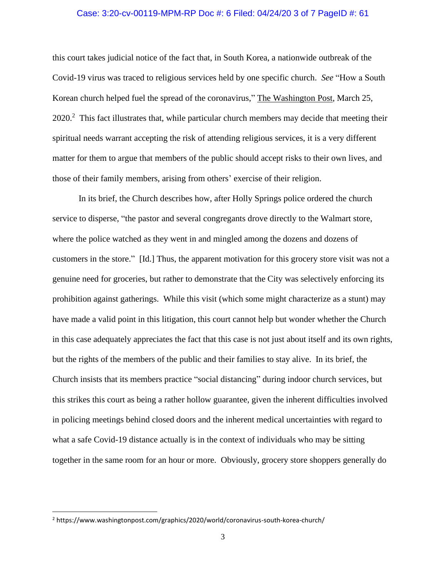### Case: 3:20-cv-00119-MPM-RP Doc #: 6 Filed: 04/24/20 3 of 7 PageID #: 61

this court takes judicial notice of the fact that, in South Korea, a nationwide outbreak of the Covid-19 virus was traced to religious services held by one specific church. *See* "How a South Korean church helped fuel the spread of the coronavirus," The Washington Post, March 25,  $2020<sup>2</sup>$ . This fact illustrates that, while particular church members may decide that meeting their spiritual needs warrant accepting the risk of attending religious services, it is a very different matter for them to argue that members of the public should accept risks to their own lives, and those of their family members, arising from others' exercise of their religion.

In its brief, the Church describes how, after Holly Springs police ordered the church service to disperse, "the pastor and several congregants drove directly to the Walmart store, where the police watched as they went in and mingled among the dozens and dozens of customers in the store." [Id.] Thus, the apparent motivation for this grocery store visit was not a genuine need for groceries, but rather to demonstrate that the City was selectively enforcing its prohibition against gatherings. While this visit (which some might characterize as a stunt) may have made a valid point in this litigation, this court cannot help but wonder whether the Church in this case adequately appreciates the fact that this case is not just about itself and its own rights, but the rights of the members of the public and their families to stay alive. In its brief, the Church insists that its members practice "social distancing" during indoor church services, but this strikes this court as being a rather hollow guarantee, given the inherent difficulties involved in policing meetings behind closed doors and the inherent medical uncertainties with regard to what a safe Covid-19 distance actually is in the context of individuals who may be sitting together in the same room for an hour or more. Obviously, grocery store shoppers generally do

<sup>2</sup> https://www.washingtonpost.com/graphics/2020/world/coronavirus-south-korea-church/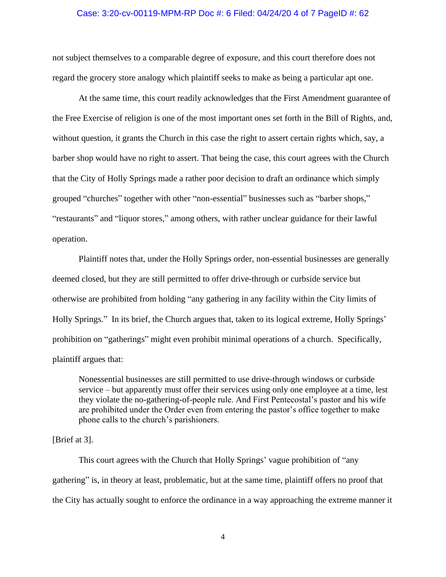#### Case: 3:20-cv-00119-MPM-RP Doc #: 6 Filed: 04/24/20 4 of 7 PageID #: 62

not subject themselves to a comparable degree of exposure, and this court therefore does not regard the grocery store analogy which plaintiff seeks to make as being a particular apt one.

At the same time, this court readily acknowledges that the First Amendment guarantee of the Free Exercise of religion is one of the most important ones set forth in the Bill of Rights, and, without question, it grants the Church in this case the right to assert certain rights which, say, a barber shop would have no right to assert. That being the case, this court agrees with the Church that the City of Holly Springs made a rather poor decision to draft an ordinance which simply grouped "churches" together with other "non-essential" businesses such as "barber shops," "restaurants" and "liquor stores," among others, with rather unclear guidance for their lawful operation.

Plaintiff notes that, under the Holly Springs order, non-essential businesses are generally deemed closed, but they are still permitted to offer drive-through or curbside service but otherwise are prohibited from holding "any gathering in any facility within the City limits of Holly Springs." In its brief, the Church argues that, taken to its logical extreme, Holly Springs' prohibition on "gatherings" might even prohibit minimal operations of a church. Specifically, plaintiff argues that:

Nonessential businesses are still permitted to use drive-through windows or curbside service – but apparently must offer their services using only one employee at a time, lest they violate the no-gathering-of-people rule. And First Pentecostal's pastor and his wife are prohibited under the Order even from entering the pastor's office together to make phone calls to the church's parishioners.

## [Brief at 3].

This court agrees with the Church that Holly Springs' vague prohibition of "any gathering" is, in theory at least, problematic, but at the same time, plaintiff offers no proof that the City has actually sought to enforce the ordinance in a way approaching the extreme manner it

4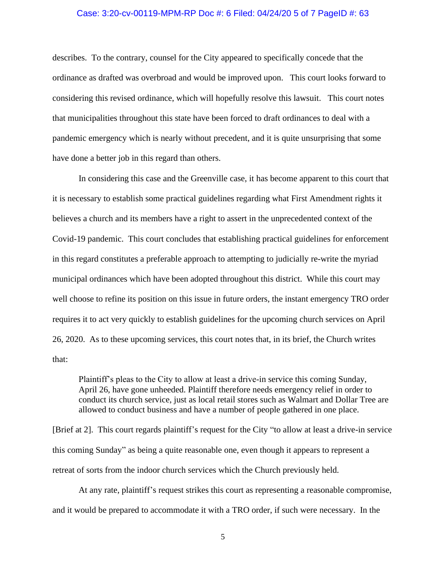#### Case: 3:20-cv-00119-MPM-RP Doc #: 6 Filed: 04/24/20 5 of 7 PageID #: 63

describes. To the contrary, counsel for the City appeared to specifically concede that the ordinance as drafted was overbroad and would be improved upon. This court looks forward to considering this revised ordinance, which will hopefully resolve this lawsuit. This court notes that municipalities throughout this state have been forced to draft ordinances to deal with a pandemic emergency which is nearly without precedent, and it is quite unsurprising that some have done a better job in this regard than others.

In considering this case and the Greenville case, it has become apparent to this court that it is necessary to establish some practical guidelines regarding what First Amendment rights it believes a church and its members have a right to assert in the unprecedented context of the Covid-19 pandemic. This court concludes that establishing practical guidelines for enforcement in this regard constitutes a preferable approach to attempting to judicially re-write the myriad municipal ordinances which have been adopted throughout this district. While this court may well choose to refine its position on this issue in future orders, the instant emergency TRO order requires it to act very quickly to establish guidelines for the upcoming church services on April 26, 2020. As to these upcoming services, this court notes that, in its brief, the Church writes that:

Plaintiff's pleas to the City to allow at least a drive-in service this coming Sunday, April 26, have gone unheeded. Plaintiff therefore needs emergency relief in order to conduct its church service, just as local retail stores such as Walmart and Dollar Tree are allowed to conduct business and have a number of people gathered in one place.

[Brief at 2]. This court regards plaintiff's request for the City "to allow at least a drive-in service this coming Sunday" as being a quite reasonable one, even though it appears to represent a retreat of sorts from the indoor church services which the Church previously held.

At any rate, plaintiff's request strikes this court as representing a reasonable compromise, and it would be prepared to accommodate it with a TRO order, if such were necessary. In the

5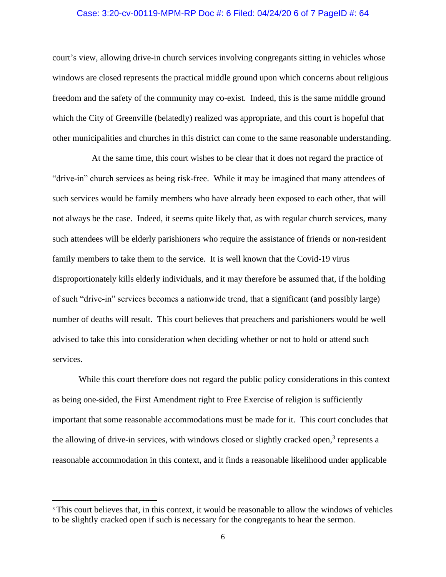## Case: 3:20-cv-00119-MPM-RP Doc #: 6 Filed: 04/24/20 6 of 7 PageID #: 64

court's view, allowing drive-in church services involving congregants sitting in vehicles whose windows are closed represents the practical middle ground upon which concerns about religious freedom and the safety of the community may co-exist. Indeed, this is the same middle ground which the City of Greenville (belatedly) realized was appropriate, and this court is hopeful that other municipalities and churches in this district can come to the same reasonable understanding.

At the same time, this court wishes to be clear that it does not regard the practice of "drive-in" church services as being risk-free. While it may be imagined that many attendees of such services would be family members who have already been exposed to each other, that will not always be the case. Indeed, it seems quite likely that, as with regular church services, many such attendees will be elderly parishioners who require the assistance of friends or non-resident family members to take them to the service. It is well known that the Covid-19 virus disproportionately kills elderly individuals, and it may therefore be assumed that, if the holding of such "drive-in" services becomes a nationwide trend, that a significant (and possibly large) number of deaths will result. This court believes that preachers and parishioners would be well advised to take this into consideration when deciding whether or not to hold or attend such services.

 While this court therefore does not regard the public policy considerations in this context as being one-sided, the First Amendment right to Free Exercise of religion is sufficiently important that some reasonable accommodations must be made for it. This court concludes that the allowing of drive-in services, with windows closed or slightly cracked open,<sup>3</sup> represents a reasonable accommodation in this context, and it finds a reasonable likelihood under applicable

<sup>&</sup>lt;sup>3</sup> This court believes that, in this context, it would be reasonable to allow the windows of vehicles to be slightly cracked open if such is necessary for the congregants to hear the sermon.